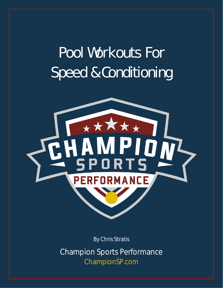# Pool Workouts For Speed & Conditioning



By Chris Stratis

Champion Sports Performance ChampionSP.com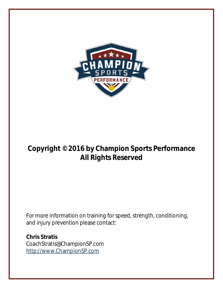

### **Copyright © 2016 by Champion Sports Performance All Rights Reserved**

For more information on training for speed, strength, conditioning, and injury prevention please contact:

**Chris Stratis** CoachStratis@ChampionSP.com [http://www.ChampionSP.com](http://www.championsp.com/)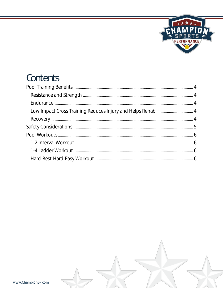

## Contents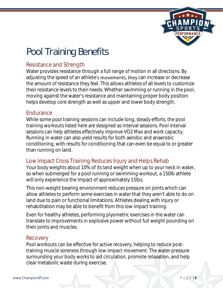

# <span id="page-3-0"></span>Pool Training Benefits

#### <span id="page-3-1"></span>Resistance and Strength

Water provides resistance through a full range of motion in all directions. By adjusting the speed of an athlete's movements, they can increase or decrease the amount of resistance they feel. This allows athletes of all levels to customize their resistance levels to their needs. Whether swimming or running in the pool, moving against the water's resistance and maintaining proper body position helps develop core strength as well as upper and lower body strength.

#### <span id="page-3-2"></span>Endurance

While some pool training sessions can include long, steady efforts, the pool training workouts listed here are designed as interval sessions. Pool interval sessions can help athletes effectively improve VO2 Max and work capacity. Running in water can also yield results for both aerobic and anaerobic conditioning, with results for conditioning that can even be equal to or greater than running on land.

#### <span id="page-3-3"></span>Low Impact Cross Training Reduces Injury and Helps Rehab

Your body weights about 10% of its land weight when up to your neck in water, so when submerged for a pool running or swimming workout, a 150lb athlete will only experience the impact of approximately 15lbs.

This non-weight bearing environment reduces pressure on joints which can allow athletes to perform some exercises in water that they aren't able to do on land due to pain or functional limitations. Athletes dealing with injury or rehabilitation may be able to benefit from this low impact training.

Even for healthy athletes, performing plyometric exercises in the water can translate to improvements in explosive power without full weight pounding on their joints and muscles.

#### <span id="page-3-4"></span>Recovery

Pool workouts can be effective for active recovery, helping to reduce posttraining muscle soreness through low-impact movement. The water pressure surrounding your body works to aid circulation, promote relaxation, and help clear metabolic waste during exercise.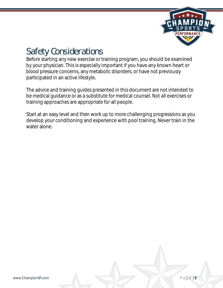

### <span id="page-4-0"></span>Safety Considerations

Before starting any new exercise or training program, you should be examined by your physician. This is especially important if you have any known heart or blood pressure concerns, any metabolic disorders, or have not previously participated in an active lifestyle*.* 

The advice and training guides presented in this document are not intended to be medical guidance or as a substitute for medical counsel. Not all exercises or training approaches are appropriate for all people.

Start at an easy level and then work up to more challenging progressions as you develop your conditioning and experience with pool training. Never train in the water alone.